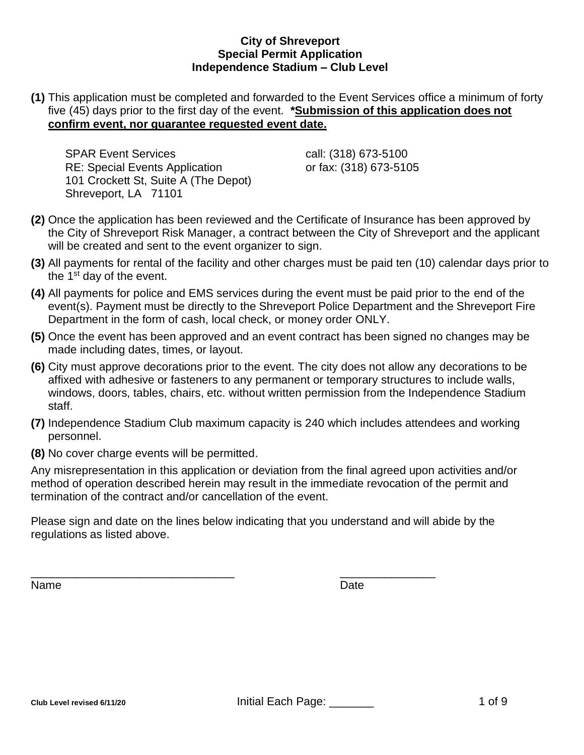# **(1)** This application must be completed and forwarded to the Event Services office a minimum of forty five (45) days prior to the first day of the event. **\*Submission of this application does not confirm event, nor guarantee requested event date.**

SPAR Event Services call: (318) 673-5100 RE: Special Events Application **by Case Core 1218** or fax: (318) 673-5105 101 Crockett St, Suite A (The Depot) Shreveport, LA 71101

- **(2)** Once the application has been reviewed and the Certificate of Insurance has been approved by the City of Shreveport Risk Manager, a contract between the City of Shreveport and the applicant will be created and sent to the event organizer to sign.
- **(3)** All payments for rental of the facility and other charges must be paid ten (10) calendar days prior to the  $1<sup>st</sup>$  day of the event.
- **(4)** All payments for police and EMS services during the event must be paid prior to the end of the event(s). Payment must be directly to the Shreveport Police Department and the Shreveport Fire Department in the form of cash, local check, or money order ONLY.
- **(5)** Once the event has been approved and an event contract has been signed no changes may be made including dates, times, or layout.
- **(6)** City must approve decorations prior to the event. The city does not allow any decorations to be affixed with adhesive or fasteners to any permanent or temporary structures to include walls, windows, doors, tables, chairs, etc. without written permission from the Independence Stadium staff.
- **(7)** Independence Stadium Club maximum capacity is 240 which includes attendees and working personnel.
- **(8)** No cover charge events will be permitted.

Any misrepresentation in this application or deviation from the final agreed upon activities and/or method of operation described herein may result in the immediate revocation of the permit and termination of the contract and/or cancellation of the event.

Please sign and date on the lines below indicating that you understand and will abide by the regulations as listed above.

\_\_\_\_\_\_\_\_\_\_\_\_\_\_\_\_\_\_\_\_\_\_\_\_\_\_\_\_\_\_\_\_ \_\_\_\_\_\_\_\_\_\_\_\_\_\_\_

Name Date **Date**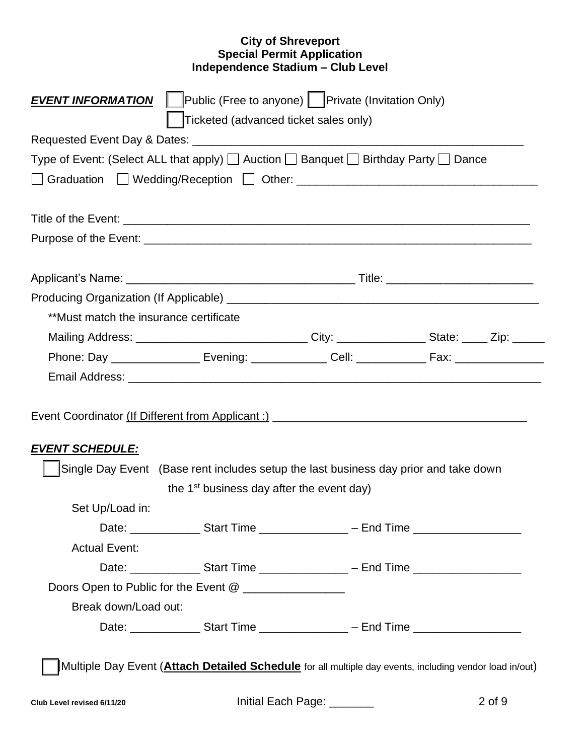| Public (Free to anyone) Private (Invitation Only)<br><b>EVENT INFORMATION</b>       |                                                                                      |                             |                                                                                                                 |  |  |  |
|-------------------------------------------------------------------------------------|--------------------------------------------------------------------------------------|-----------------------------|-----------------------------------------------------------------------------------------------------------------|--|--|--|
|                                                                                     | Ticketed (advanced ticket sales only)                                                |                             |                                                                                                                 |  |  |  |
|                                                                                     |                                                                                      |                             |                                                                                                                 |  |  |  |
| Type of Event: (Select ALL that apply) [ Auction [ Banquet [ Birthday Party [ Dance |                                                                                      |                             |                                                                                                                 |  |  |  |
|                                                                                     |                                                                                      |                             |                                                                                                                 |  |  |  |
|                                                                                     |                                                                                      |                             |                                                                                                                 |  |  |  |
|                                                                                     |                                                                                      |                             |                                                                                                                 |  |  |  |
|                                                                                     |                                                                                      |                             |                                                                                                                 |  |  |  |
|                                                                                     |                                                                                      |                             |                                                                                                                 |  |  |  |
|                                                                                     |                                                                                      |                             |                                                                                                                 |  |  |  |
| **Must match the insurance certificate                                              |                                                                                      |                             |                                                                                                                 |  |  |  |
|                                                                                     |                                                                                      |                             | Mailing Address: _________________________________City: _________________State: _____ Zip: _______              |  |  |  |
|                                                                                     |                                                                                      |                             | Phone: Day __________________ Evening: ______________ Cell: ______________ Fax: ___________________             |  |  |  |
|                                                                                     |                                                                                      |                             |                                                                                                                 |  |  |  |
| <b>EVENT SCHEDULE:</b>                                                              |                                                                                      |                             |                                                                                                                 |  |  |  |
|                                                                                     | Single Day Event (Base rent includes setup the last business day prior and take down |                             |                                                                                                                 |  |  |  |
|                                                                                     | the 1 <sup>st</sup> business day after the event day)                                |                             |                                                                                                                 |  |  |  |
| Set Up/Load in:                                                                     |                                                                                      |                             |                                                                                                                 |  |  |  |
|                                                                                     |                                                                                      |                             | Date: ___________________Start Time ___________________ – End Time _________________________________            |  |  |  |
| <b>Actual Event:</b>                                                                |                                                                                      |                             |                                                                                                                 |  |  |  |
|                                                                                     |                                                                                      |                             | Date: __________________Start Time ____________________ – End Time ____________________                         |  |  |  |
|                                                                                     | Doors Open to Public for the Event @ _________________                               |                             |                                                                                                                 |  |  |  |
| Break down/Load out:                                                                |                                                                                      |                             |                                                                                                                 |  |  |  |
|                                                                                     |                                                                                      |                             | Date: ___________________Start Time ___________________ – End Time _________________________________            |  |  |  |
|                                                                                     |                                                                                      |                             | Multiple Day Event ( <b>Attach Detailed Schedule</b> for all multiple day events, including vendor load in/out) |  |  |  |
| Club Level revised 6/11/20                                                          |                                                                                      | Initial Each Page: ________ | $2$ of $9$                                                                                                      |  |  |  |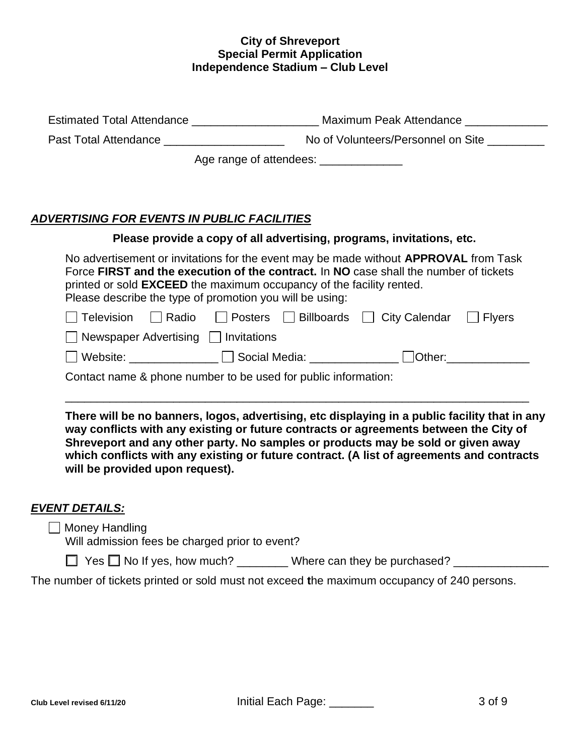| Past Total Attendance _____________________                                                                                             | No of Volunteers/Personnel on Site                                                                                                                                                                                                                                                                                                                                      |  |  |
|-----------------------------------------------------------------------------------------------------------------------------------------|-------------------------------------------------------------------------------------------------------------------------------------------------------------------------------------------------------------------------------------------------------------------------------------------------------------------------------------------------------------------------|--|--|
|                                                                                                                                         | Age range of attendees: ________________                                                                                                                                                                                                                                                                                                                                |  |  |
|                                                                                                                                         |                                                                                                                                                                                                                                                                                                                                                                         |  |  |
| <u>ADVERTISING FOR EVENTS IN PUBLIC FACILITIES</u>                                                                                      |                                                                                                                                                                                                                                                                                                                                                                         |  |  |
|                                                                                                                                         | Please provide a copy of all advertising, programs, invitations, etc.                                                                                                                                                                                                                                                                                                   |  |  |
| printed or sold <b>EXCEED</b> the maximum occupancy of the facility rented.<br>Please describe the type of promotion you will be using: | No advertisement or invitations for the event may be made without <b>APPROVAL</b> from Task<br>Force FIRST and the execution of the contract. In NO case shall the number of tickets                                                                                                                                                                                    |  |  |
|                                                                                                                                         | Television   Radio   Posters   Billboards   City Calendar   Flyers                                                                                                                                                                                                                                                                                                      |  |  |
| $\Box$ Newspaper Advertising $\Box$ Invitations                                                                                         |                                                                                                                                                                                                                                                                                                                                                                         |  |  |
|                                                                                                                                         |                                                                                                                                                                                                                                                                                                                                                                         |  |  |
| Contact name & phone number to be used for public information:                                                                          |                                                                                                                                                                                                                                                                                                                                                                         |  |  |
|                                                                                                                                         |                                                                                                                                                                                                                                                                                                                                                                         |  |  |
| will be provided upon request).                                                                                                         | There will be no banners, logos, advertising, etc displaying in a public facility that in any<br>way conflicts with any existing or future contracts or agreements between the City of<br>Shreveport and any other party. No samples or products may be sold or given away<br>which conflicts with any existing or future contract. (A list of agreements and contracts |  |  |

# *EVENT DETAILS:*

**Money Handling** 

Will admission fees be charged prior to event?

 $\Box$  Yes  $\Box$  No If yes, how much? \_\_\_\_\_\_\_\_ Where can they be purchased? \_\_\_\_\_\_\_\_\_\_\_\_\_\_

The number of tickets printed or sold must not exceed **t**he maximum occupancy of 240 persons.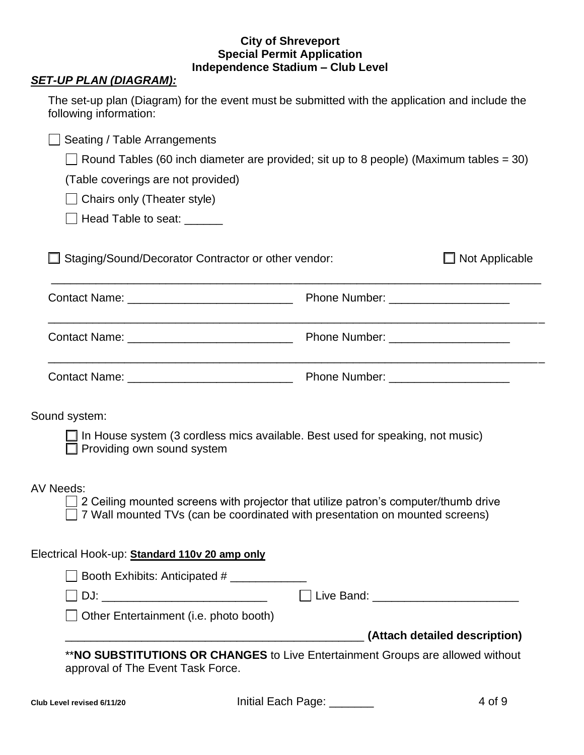# *SET-UP PLAN (DIAGRAM):*

| The set-up plan (Diagram) for the event must be submitted with the application and include the<br>following information:   |                                                                                               |
|----------------------------------------------------------------------------------------------------------------------------|-----------------------------------------------------------------------------------------------|
| Seating / Table Arrangements                                                                                               |                                                                                               |
|                                                                                                                            | $\Box$ Round Tables (60 inch diameter are provided; sit up to 8 people) (Maximum tables = 30) |
| (Table coverings are not provided)                                                                                         |                                                                                               |
| Chairs only (Theater style)                                                                                                |                                                                                               |
| $\Box$ Head Table to seat: $\Box$                                                                                          |                                                                                               |
| Staging/Sound/Decorator Contractor or other vendor:                                                                        | $\Box$ Not Applicable                                                                         |
|                                                                                                                            |                                                                                               |
|                                                                                                                            |                                                                                               |
|                                                                                                                            |                                                                                               |
| Sound system:                                                                                                              |                                                                                               |
| $\Box$ In House system (3 cordless mics available. Best used for speaking, not music)<br>$\Box$ Providing own sound system |                                                                                               |
| <b>AV Needs:</b>                                                                                                           |                                                                                               |
| 7 Wall mounted TVs (can be coordinated with presentation on mounted screens)                                               | 2 Ceiling mounted screens with projector that utilize patron's computer/thumb drive           |
| Electrical Hook-up: Standard 110v 20 amp only                                                                              |                                                                                               |
| Booth Exhibits: Anticipated #                                                                                              |                                                                                               |
|                                                                                                                            | Live Band: __________________________                                                         |
| Other Entertainment (i.e. photo booth)                                                                                     |                                                                                               |
|                                                                                                                            | (Attach detailed description)                                                                 |
| approval of The Event Task Force.                                                                                          | **NO SUBSTITUTIONS OR CHANGES to Live Entertainment Groups are allowed without                |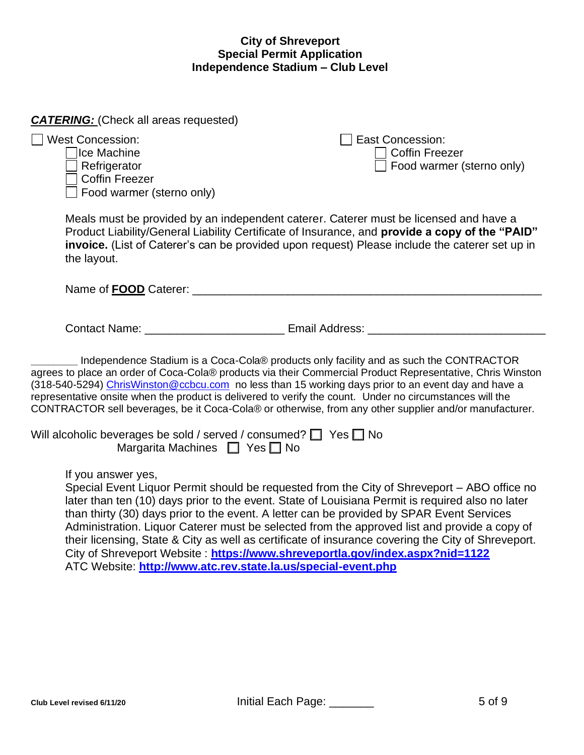# *CATERING:* (Check all areas requested)

 $\Box$  West Concession:  $\Box$  East Concession:

The Machine Contract Contract Contract Contract Contract Contract Contract Contract Contract Contract Contract Contract Contract Contract Contract Contract Contract Contract Contract Contract Contract Contract Contract Co Coffin Freezer Food warmer (sterno only)

Refrigerator Food warmer (sterno only)

Meals must be provided by an independent caterer. Caterer must be licensed and have a Product Liability/General Liability Certificate of Insurance, and **provide a copy of the "PAID" invoice.** (List of Caterer's can be provided upon request) Please include the caterer set up in the layout.

Name of **FOOD** Caterer: \_\_\_\_\_\_\_\_\_\_\_\_\_\_\_\_\_\_\_\_\_\_\_\_\_\_\_\_\_\_\_\_\_\_\_\_\_\_\_\_\_\_\_\_\_\_\_\_\_\_\_\_\_\_\_

Contact Name: example and a Email Address:  $\blacksquare$ 

**\_\_\_\_\_\_\_\_** Independence Stadium is a Coca-Cola® products only facility and as such the CONTRACTOR agrees to place an order of Coca-Cola® products via their Commercial Product Representative, Chris Winston (318-540-5294) [ChrisWinston@ccbcu.com](mailto:ChrisWinston@ccbcu.com) no less than 15 working days prior to an event day and have a representative onsite when the product is delivered to verify the count. Under no circumstances will the CONTRACTOR sell beverages, be it Coca-Cola® or otherwise, from any other supplier and/or manufacturer.

| Will alcoholic beverages be sold / served / consumed? $\Box$ Yes $\Box$ No |  |
|----------------------------------------------------------------------------|--|
| Margarita Machines $\Box$ Yes $\Box$ No                                    |  |

If you answer yes,

Special Event Liquor Permit should be requested from the City of Shreveport – ABO office no later than ten (10) days prior to the event. State of Louisiana Permit is required also no later than thirty (30) days prior to the event. A letter can be provided by SPAR Event Services Administration. Liquor Caterer must be selected from the approved list and provide a copy of their licensing, State & City as well as certificate of insurance covering the City of Shreveport. City of Shreveport Website : **<https://www.shreveportla.gov/index.aspx?nid=1122>** ATC Website: **<http://www.atc.rev.state.la.us/special-event.php>**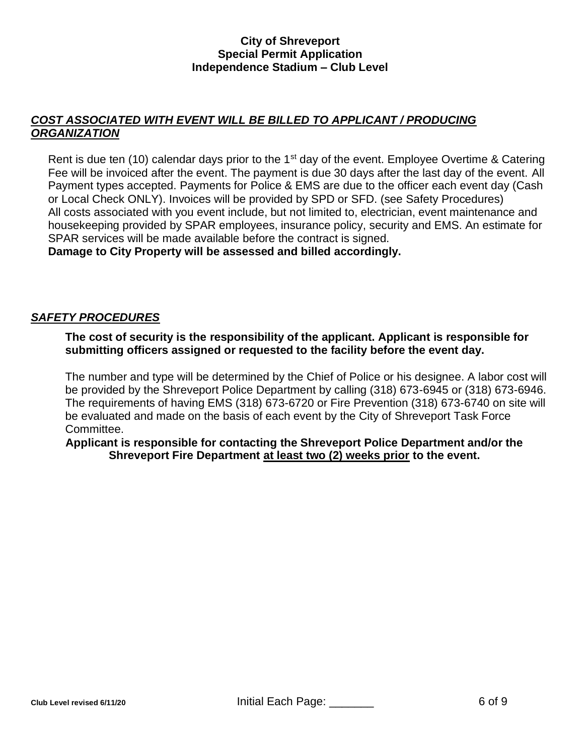# *COST ASSOCIATED WITH EVENT WILL BE BILLED TO APPLICANT / PRODUCING ORGANIZATION*

Rent is due ten (10) calendar days prior to the 1<sup>st</sup> day of the event. Employee Overtime & Catering Fee will be invoiced after the event. The payment is due 30 days after the last day of the event. All Payment types accepted. Payments for Police & EMS are due to the officer each event day (Cash or Local Check ONLY). Invoices will be provided by SPD or SFD. (see Safety Procedures) All costs associated with you event include, but not limited to, electrician, event maintenance and housekeeping provided by SPAR employees, insurance policy, security and EMS. An estimate for SPAR services will be made available before the contract is signed.

**Damage to City Property will be assessed and billed accordingly.**

# *SAFETY PROCEDURES*

**The cost of security is the responsibility of the applicant. Applicant is responsible for submitting officers assigned or requested to the facility before the event day.**

The number and type will be determined by the Chief of Police or his designee. A labor cost will be provided by the Shreveport Police Department by calling (318) 673-6945 or (318) 673-6946. The requirements of having EMS (318) 673-6720 or Fire Prevention (318) 673-6740 on site will be evaluated and made on the basis of each event by the City of Shreveport Task Force Committee.

**Applicant is responsible for contacting the Shreveport Police Department and/or the Shreveport Fire Department at least two (2) weeks prior to the event.**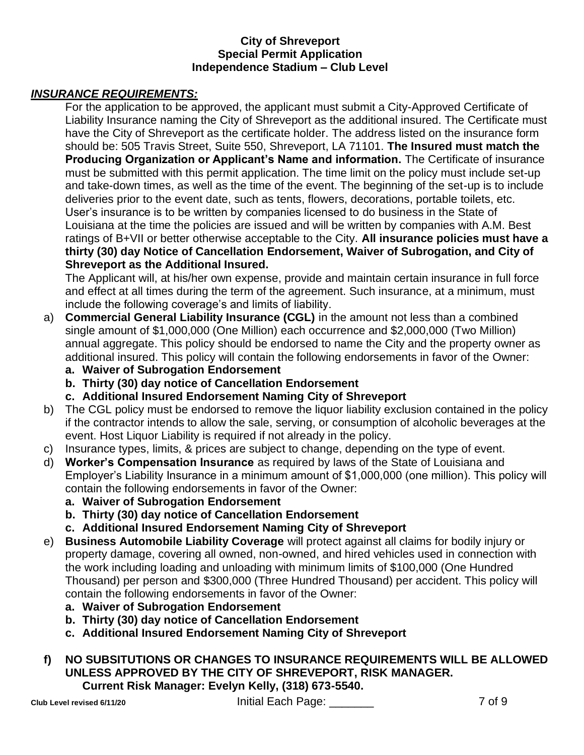# *INSURANCE REQUIREMENTS:*

For the application to be approved, the applicant must submit a City-Approved Certificate of Liability Insurance naming the City of Shreveport as the additional insured. The Certificate must have the City of Shreveport as the certificate holder. The address listed on the insurance form should be: 505 Travis Street, Suite 550, Shreveport, LA 71101. **The Insured must match the Producing Organization or Applicant's Name and information.** The Certificate of insurance must be submitted with this permit application. The time limit on the policy must include set-up and take-down times, as well as the time of the event. The beginning of the set-up is to include deliveries prior to the event date, such as tents, flowers, decorations, portable toilets, etc. User's insurance is to be written by companies licensed to do business in the State of Louisiana at the time the policies are issued and will be written by companies with A.M. Best ratings of B+VII or better otherwise acceptable to the City. **All insurance policies must have a thirty (30) day Notice of Cancellation Endorsement, Waiver of Subrogation, and City of Shreveport as the Additional Insured.** 

The Applicant will, at his/her own expense, provide and maintain certain insurance in full force and effect at all times during the term of the agreement. Such insurance, at a minimum, must include the following coverage's and limits of liability.

- a) **Commercial General Liability Insurance (CGL)** in the amount not less than a combined single amount of \$1,000,000 (One Million) each occurrence and \$2,000,000 (Two Million) annual aggregate. This policy should be endorsed to name the City and the property owner as additional insured. This policy will contain the following endorsements in favor of the Owner:
	- **a. Waiver of Subrogation Endorsement**
	- **b. Thirty (30) day notice of Cancellation Endorsement**
	- **c. Additional Insured Endorsement Naming City of Shreveport**
- b) The CGL policy must be endorsed to remove the liquor liability exclusion contained in the policy if the contractor intends to allow the sale, serving, or consumption of alcoholic beverages at the event. Host Liquor Liability is required if not already in the policy.
- c) Insurance types, limits, & prices are subject to change, depending on the type of event.
- d) **Worker's Compensation Insurance** as required by laws of the State of Louisiana and Employer's Liability Insurance in a minimum amount of \$1,000,000 (one million). This policy will contain the following endorsements in favor of the Owner:
	- **a. Waiver of Subrogation Endorsement**
	- **b. Thirty (30) day notice of Cancellation Endorsement**
	- **c. Additional Insured Endorsement Naming City of Shreveport**
- e) **Business Automobile Liability Coverage** will protect against all claims for bodily injury or property damage, covering all owned, non-owned, and hired vehicles used in connection with the work including loading and unloading with minimum limits of \$100,000 (One Hundred Thousand) per person and \$300,000 (Three Hundred Thousand) per accident. This policy will contain the following endorsements in favor of the Owner:
	- **a. Waiver of Subrogation Endorsement**
	- **b. Thirty (30) day notice of Cancellation Endorsement**
	- **c. Additional Insured Endorsement Naming City of Shreveport**

# **f) NO SUBSITUTIONS OR CHANGES TO INSURANCE REQUIREMENTS WILL BE ALLOWED UNLESS APPROVED BY THE CITY OF SHREVEPORT, RISK MANAGER. Current Risk Manager: Evelyn Kelly, (318) 673-5540.**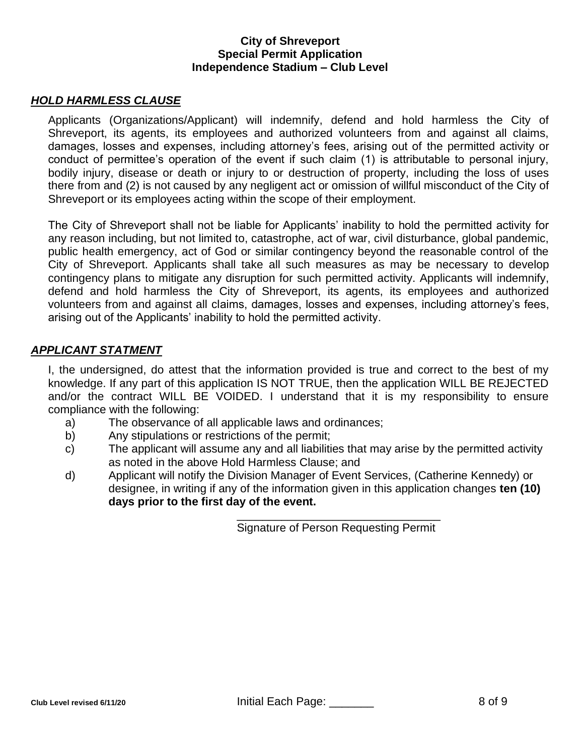# *HOLD HARMLESS CLAUSE*

Applicants (Organizations/Applicant) will indemnify, defend and hold harmless the City of Shreveport, its agents, its employees and authorized volunteers from and against all claims, damages, losses and expenses, including attorney's fees, arising out of the permitted activity or conduct of permittee's operation of the event if such claim (1) is attributable to personal injury, bodily injury, disease or death or injury to or destruction of property, including the loss of uses there from and (2) is not caused by any negligent act or omission of willful misconduct of the City of Shreveport or its employees acting within the scope of their employment.

The City of Shreveport shall not be liable for Applicants' inability to hold the permitted activity for any reason including, but not limited to, catastrophe, act of war, civil disturbance, global pandemic, public health emergency, act of God or similar contingency beyond the reasonable control of the City of Shreveport. Applicants shall take all such measures as may be necessary to develop contingency plans to mitigate any disruption for such permitted activity. Applicants will indemnify, defend and hold harmless the City of Shreveport, its agents, its employees and authorized volunteers from and against all claims, damages, losses and expenses, including attorney's fees, arising out of the Applicants' inability to hold the permitted activity.

# *APPLICANT STATMENT*

I, the undersigned, do attest that the information provided is true and correct to the best of my knowledge. If any part of this application IS NOT TRUE, then the application WILL BE REJECTED and/or the contract WILL BE VOIDED. I understand that it is my responsibility to ensure compliance with the following:

- a) The observance of all applicable laws and ordinances;
- b) Any stipulations or restrictions of the permit;
- c) The applicant will assume any and all liabilities that may arise by the permitted activity as noted in the above Hold Harmless Clause; and
- d) Applicant will notify the Division Manager of Event Services, (Catherine Kennedy) or designee, in writing if any of the information given in this application changes **ten (10) days prior to the first day of the event.**

\_\_\_\_\_\_\_\_\_\_\_\_\_\_\_\_\_\_\_\_\_\_\_\_\_\_\_\_\_\_\_\_ Signature of Person Requesting Permit